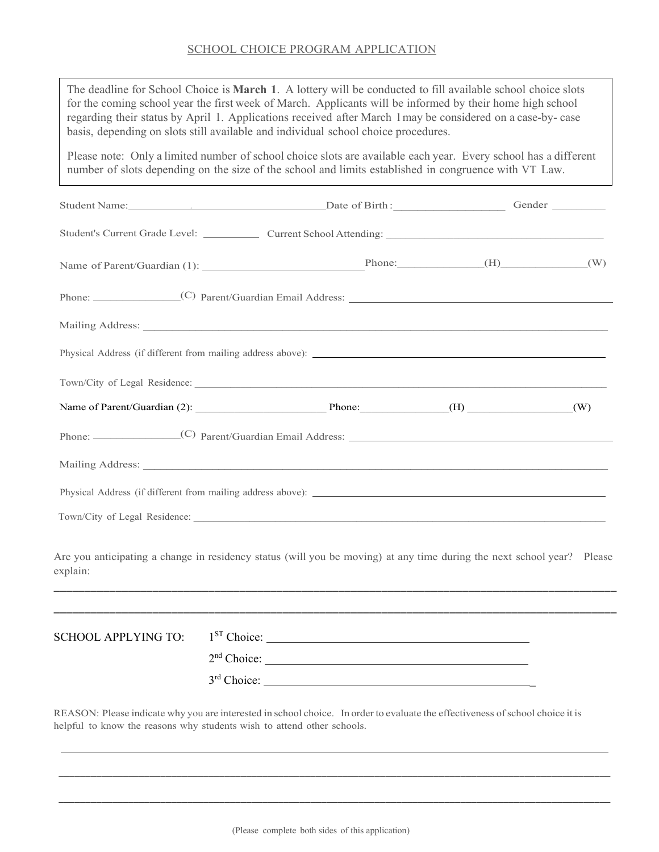| The deadline for School Choice is <b>March 1</b> . A lottery will be conducted to fill available school choice slots<br>for the coming school year the first week of March. Applicants will be informed by their home high school<br>regarding their status by April 1. Applications received after March 1may be considered on a case-by-case<br>basis, depending on slots still available and individual school choice procedures. |                         |                                                                                                                                                                                                                               |  |
|--------------------------------------------------------------------------------------------------------------------------------------------------------------------------------------------------------------------------------------------------------------------------------------------------------------------------------------------------------------------------------------------------------------------------------------|-------------------------|-------------------------------------------------------------------------------------------------------------------------------------------------------------------------------------------------------------------------------|--|
| Please note: Only a limited number of school choice slots are available each year. Every school has a different<br>number of slots depending on the size of the school and limits established in congruence with VT Law.                                                                                                                                                                                                             |                         |                                                                                                                                                                                                                               |  |
|                                                                                                                                                                                                                                                                                                                                                                                                                                      |                         | Student Name: Contact Contact Contact Contact Contact Contact Contact Contact Contact Contact Contact Contact Contact Contact Contact Contact Contact Contact Contact Contact Contact Contact Contact Contact Contact Contact |  |
| Student's Current Grade Level: Current School Attending: Current School Attending:                                                                                                                                                                                                                                                                                                                                                   |                         |                                                                                                                                                                                                                               |  |
|                                                                                                                                                                                                                                                                                                                                                                                                                                      |                         |                                                                                                                                                                                                                               |  |
|                                                                                                                                                                                                                                                                                                                                                                                                                                      |                         |                                                                                                                                                                                                                               |  |
|                                                                                                                                                                                                                                                                                                                                                                                                                                      |                         |                                                                                                                                                                                                                               |  |
|                                                                                                                                                                                                                                                                                                                                                                                                                                      |                         |                                                                                                                                                                                                                               |  |
|                                                                                                                                                                                                                                                                                                                                                                                                                                      |                         |                                                                                                                                                                                                                               |  |
|                                                                                                                                                                                                                                                                                                                                                                                                                                      |                         |                                                                                                                                                                                                                               |  |
|                                                                                                                                                                                                                                                                                                                                                                                                                                      |                         |                                                                                                                                                                                                                               |  |
|                                                                                                                                                                                                                                                                                                                                                                                                                                      |                         |                                                                                                                                                                                                                               |  |
|                                                                                                                                                                                                                                                                                                                                                                                                                                      |                         |                                                                                                                                                                                                                               |  |
|                                                                                                                                                                                                                                                                                                                                                                                                                                      |                         |                                                                                                                                                                                                                               |  |
| Are you anticipating a change in residency status (will you be moving) at any time during the next school year? Please<br>explain:                                                                                                                                                                                                                                                                                                   |                         |                                                                                                                                                                                                                               |  |
|                                                                                                                                                                                                                                                                                                                                                                                                                                      |                         |                                                                                                                                                                                                                               |  |
| <b>SCHOOL APPLYING TO:</b>                                                                                                                                                                                                                                                                                                                                                                                                           | $1ST$ Choice:           |                                                                                                                                                                                                                               |  |
|                                                                                                                                                                                                                                                                                                                                                                                                                                      | 2 <sup>nd</sup> Choice: |                                                                                                                                                                                                                               |  |
|                                                                                                                                                                                                                                                                                                                                                                                                                                      | $3rd$ Choice:           |                                                                                                                                                                                                                               |  |
| REASON: Please indicate why you are interested in school choice. In order to evaluate the effectiveness of school choice it is<br>helpful to know the reasons why students wish to attend other schools.                                                                                                                                                                                                                             |                         |                                                                                                                                                                                                                               |  |

\_\_\_\_\_\_\_\_\_\_\_\_\_\_\_\_\_\_\_\_\_\_\_\_\_\_\_\_\_\_\_\_\_\_\_\_\_\_\_\_\_\_\_\_\_\_\_\_\_\_\_\_\_\_\_\_\_\_\_\_\_\_\_\_\_\_\_\_\_\_\_\_\_\_\_\_\_\_\_\_\_\_\_\_\_\_\_\_\_\_\_\_\_\_\_\_\_\_\_\_\_\_\_

\_\_\_\_\_\_\_\_\_\_\_\_\_\_\_\_\_\_\_\_\_\_\_\_\_\_\_\_\_\_\_\_\_\_\_\_\_\_\_\_\_\_\_\_\_\_\_\_\_\_\_\_\_\_\_\_\_\_\_\_\_\_\_\_\_\_\_\_\_\_\_\_\_\_\_\_\_\_\_\_\_\_\_\_\_\_\_\_\_\_\_\_\_\_\_\_\_\_\_\_\_\_\_